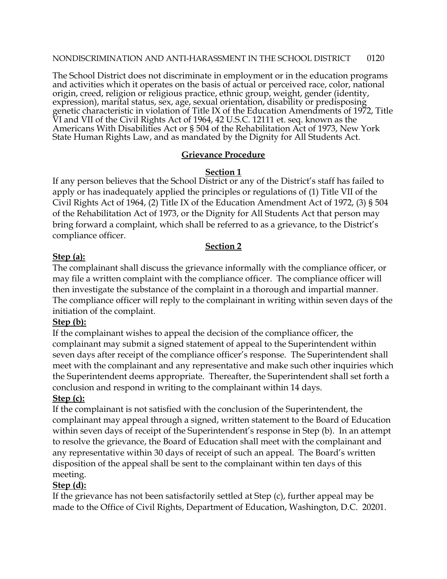The School District does not discriminate in employment or in the education programs and activities which it operates on the basis of actual or perceived race, color, national origin, creed, religion or religious practice, ethnic group, weight, gender (identity, expression), marital status, sex, age, sexual orientation, disability or predisposing genetic characteristic in violation of Title IX of the Education Amendments of 1972, Title VI and VII of the Civil Rights Act of 1964, 42 U.S.C. 12111 et. seq. known as the Americans With Disabilities Act or § 504 of the Rehabilitation Act of 1973, New York State Human Rights Law, and as mandated by the Dignity for All Students Act.

## **Grievance Procedure**

### **Section 1**

If any person believes that the School District or any of the District's staff has failed to apply or has inadequately applied the principles or regulations of (1) Title VII of the Civil Rights Act of 1964, (2) Title IX of the Education Amendment Act of 1972, (3) § 504 of the Rehabilitation Act of 1973, or the Dignity for All Students Act that person may bring forward a complaint, which shall be referred to as a grievance, to the District's compliance officer.

### **Section 2**

## **Step (a):**

The complainant shall discuss the grievance informally with the compliance officer, or may file a written complaint with the compliance officer. The compliance officer will then investigate the substance of the complaint in a thorough and impartial manner. The compliance officer will reply to the complainant in writing within seven days of the initiation of the complaint.

## **Step (b):**

If the complainant wishes to appeal the decision of the compliance officer, the complainant may submit a signed statement of appeal to the Superintendent within seven days after receipt of the compliance officer's response. The Superintendent shall meet with the complainant and any representative and make such other inquiries which the Superintendent deems appropriate. Thereafter, the Superintendent shall set forth a conclusion and respond in writing to the complainant within 14 days.

#### **Step (c):**

If the complainant is not satisfied with the conclusion of the Superintendent, the complainant may appeal through a signed, written statement to the Board of Education within seven days of receipt of the Superintendent's response in Step (b). In an attempt to resolve the grievance, the Board of Education shall meet with the complainant and any representative within 30 days of receipt of such an appeal. The Board's written disposition of the appeal shall be sent to the complainant within ten days of this meeting.

## **Step (d):**

If the grievance has not been satisfactorily settled at Step (c), further appeal may be made to the Office of Civil Rights, Department of Education, Washington, D.C. 20201.